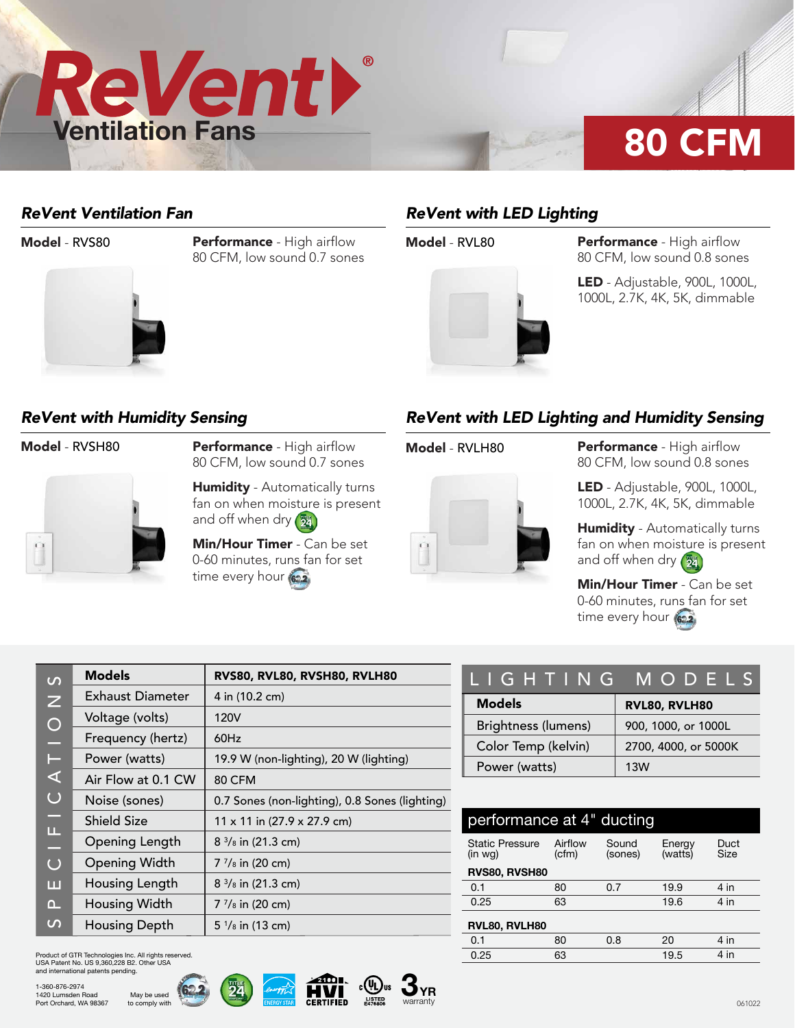

### *ReVent Ventilation Fan*



**Model - RVS80 Performance - High airflow** 80 CFM, low sound 0.7 sones

# *ReVent with LED Lighting*



**Model - RVL80 Performance - High airflow** 80 CFM, low sound 0.8 sones

> LED - Adjustable, 900L, 1000L, 1000L, 2.7K, 4K, 5K, dimmable

### *ReVent with Humidity Sensing*



Model - RVSH80 Performance - High airflow 80 CFM, low sound 0.7 sones

> **Humidity** - Automatically turns fan on when moisture is present and off when dry (24)

Min/Hour Timer - Can be set 0-60 minutes, runs fan for set time every hour (622)

## *ReVent with LED Lighting and Humidity Sensing*

i.



**Model - RVLH80 Performance - High airflow** 80 CFM, low sound 0.8 sones

> LED - Adjustable, 900L, 1000L, 1000L, 2.7K, 4K, 5K, dimmable

Humidity - Automatically turns fan on when moisture is present and off when dry  $\left(\frac{m}{24}\right)$ 

Min/Hour Timer - Can be set 0-60 minutes, runs fan for set time every hour (622)

| $\Omega$       | <b>Models</b>        | RVS80, RVL80, RVSH80, RVLH80                   |
|----------------|----------------------|------------------------------------------------|
| $\overline{z}$ | Exhaust Diameter     | 4 in (10.2 cm)                                 |
| $\bigcirc$     | Voltage (volts)      | 120V                                           |
| ÷,             | Frequency (hertz)    | 60Hz                                           |
| Н              | Power (watts)        | 19.9 W (non-lighting), 20 W (lighting)         |
| ⋖              | Air Flow at 0.1 CW   | <b>80 CFM</b>                                  |
| $\bigcup$      | Noise (sones)        | 0.7 Sones (non-lighting), 0.8 Sones (lighting) |
| ÷              | <b>Shield Size</b>   | 11 x 11 in (27.9 x 27.9 cm)                    |
| щ<br>L,        | Opening Length       | $8\frac{3}{8}$ in (21.3 cm)                    |
| $\bigcup$      | <b>Opening Width</b> | $7\frac{7}{8}$ in (20 cm)                      |
| ш              | Housing Length       | $8\frac{3}{8}$ in (21.3 cm)                    |
| $\Omega$       | Housing Width        | $7\frac{7}{8}$ in (20 cm)                      |
| $\mathcal{L}$  | <b>Housing Depth</b> | $5\frac{1}{8}$ in (13 cm)                      |

Product of GTR Technologies Inc. All rights reserved. USA Patent No. US 9,360,228 B2. Other USA and international patents pending.

> May be used to comply with







| LIGHTING MODELS     |                      |  |  |  |  |  |
|---------------------|----------------------|--|--|--|--|--|
| <b>Models</b>       | RVL80, RVLH80        |  |  |  |  |  |
| Brightness (lumens) | 900, 1000, or 1000L  |  |  |  |  |  |
| Color Temp (kelvin) | 2700, 4000, or 5000K |  |  |  |  |  |
| Power (watts)       | 13W                  |  |  |  |  |  |

| performance at 4" ducting         |                  |                  |                   |              |  |  |  |  |
|-----------------------------------|------------------|------------------|-------------------|--------------|--|--|--|--|
| <b>Static Pressure</b><br>(in wg) | Airflow<br>(cfm) | Sound<br>(sones) | Energy<br>(watts) | Duct<br>Size |  |  |  |  |
| RVS80, RVSH80                     |                  |                  |                   |              |  |  |  |  |
| 0.1                               | 80               | 0.7              | 19.9              | $4$ in       |  |  |  |  |
| 0.25                              | 63               |                  | 19.6              | 4 in         |  |  |  |  |
| RVL80, RVLH80                     |                  |                  |                   |              |  |  |  |  |
| 0.1                               | 80               | 0.8              | 20                | 4 in         |  |  |  |  |
| 0.25                              | 63               |                  | 19.5              | 4 in         |  |  |  |  |